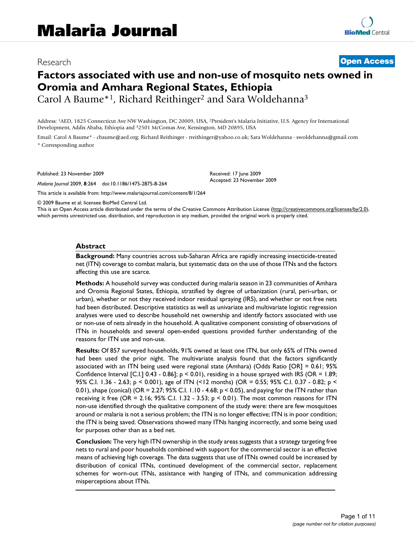# Research **[Open Access](http://www.biomedcentral.com/info/about/charter/)**

# **Factors associated with use and non-use of mosquito nets owned in Oromia and Amhara Regional States, Ethiopia** Carol A Baume<sup>\*1</sup>, Richard Reithinger<sup>2</sup> and Sara Woldehanna<sup>3</sup>

Address: 1AED, 1825 Connecticut Ave NW Washington, DC 20009, USA, 2President's Malaria Initiative, U.S. Agency for International Development, Addis Ababa, Ethiopia and 32501 McComas Ave, Kensington, MD 20895, USA

Email: Carol A Baume\* - cbaume@aed.org; Richard Reithinger - rreithinger@yahoo.co.uk; Sara Woldehanna - swoldehanna@gmail.com \* Corresponding author

Published: 23 November 2009

*Malaria Journal* 2009, **8**:264 doi:10.1186/1475-2875-8-264

[This article is available from: http://www.malariajournal.com/content/8/1/264](http://www.malariajournal.com/content/8/1/264)

Received: 17 June 2009 Accepted: 23 November 2009

© 2009 Baume et al; licensee BioMed Central Ltd.

This is an Open Access article distributed under the terms of the Creative Commons Attribution License [\(http://creativecommons.org/licenses/by/2.0\)](http://creativecommons.org/licenses/by/2.0), which permits unrestricted use, distribution, and reproduction in any medium, provided the original work is properly cited.

#### **Abstract**

**Background:** Many countries across sub-Saharan Africa are rapidly increasing insecticide-treated net (ITN) coverage to combat malaria, but systematic data on the use of those ITNs and the factors affecting this use are scarce.

**Methods:** A household survey was conducted during malaria season in 23 communities of Amhara and Oromia Regional States, Ethiopia, stratified by degree of urbanization (rural, peri-urban, or urban), whether or not they received indoor residual spraying (IRS), and whether or not free nets had been distributed. Descriptive statistics as well as univariate and multivariate logistic regression analyses were used to describe household net ownership and identify factors associated with use or non-use of nets already in the household. A qualitative component consisting of observations of ITNs in households and several open-ended questions provided further understanding of the reasons for ITN use and non-use.

**Results:** Of 857 surveyed households, 91% owned at least one ITN, but only 65% of ITNs owned had been used the prior night. The multivariate analysis found that the factors significantly associated with an ITN being used were regional state (Amhara) (Odds Ratio [OR] = 0.61; 95% Confidence Interval [C.I.] 0.43 - 0.86];  $p < 0.01$ ), residing in a house sprayed with IRS (OR = 1.89; 95% C.I. 1.36 - 2.63; p < 0.001), age of ITN (<12 months) (OR = 0.55; 95% C.I. 0.37 - 0.82; p < 0.01), shape (conical) (OR = 2.27; 95% C.I.  $1.10 - 4.68$ ; p < 0.05), and paying for the ITN rather than receiving it free (OR = 2.16; 95% C.I. 1.32 - 3.53;  $p < 0.01$ ). The most common reasons for ITN non-use identified through the qualitative component of the study were: there are few mosquitoes around or malaria is not a serious problem; the ITN is no longer effective; ITN is in poor condition; the ITN is being saved. Observations showed many ITNs hanging incorrectly, and some being used for purposes other than as a bed net.

**Conclusion:** The very high ITN ownership in the study areas suggests that a strategy targeting free nets to rural and poor households combined with support for the commercial sector is an effective means of achieving high coverage. The data suggests that use of ITNs owned could be increased by distribution of conical ITNs, continued development of the commercial sector, replacement schemes for worn-out ITNs, assistance with hanging of ITNs, and communication addressing misperceptions about ITNs.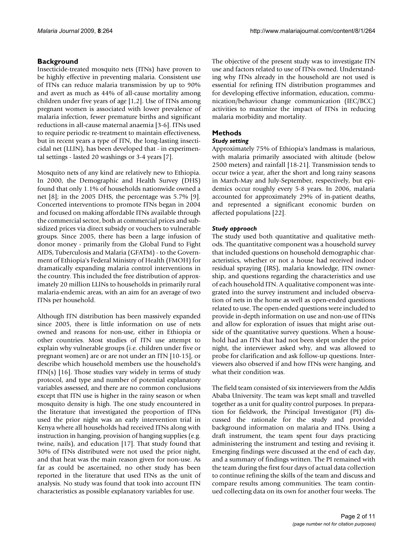# **Background**

Insecticide-treated mosquito nets (ITNs) have proven to be highly effective in preventing malaria. Consistent use of ITNs can reduce malaria transmission by up to 90% and avert as much as 44% of all-cause mortality among children under five years of age [1,2]. Use of ITNs among pregnant women is associated with lower prevalence of malaria infection, fewer premature births and significant reductions in all-cause maternal anaemia [3-6]. ITNs used to require periodic re-treatment to maintain effectiveness, but in recent years a type of ITN, the long-lasting insecticidal net (LLIN), has been developed that - in experimental settings - lasted 20 washings or 3-4 years [7].

Mosquito nets of any kind are relatively new to Ethiopia. In 2000, the Demographic and Health Survey (DHS) found that only 1.1% of households nationwide owned a net [8]; in the 2005 DHS, the percentage was 5.7% [9]. Concerted interventions to promote ITNs began in 2004 and focused on making affordable ITNs available through the commercial sector, both at commercial prices and subsidized prices via direct subsidy or vouchers to vulnerable groups. Since 2005, there has been a large infusion of donor money - primarily from the Global Fund to Fight AIDS, Tuberculosis and Malaria (GFATM) - to the Government of Ethiopia's Federal Ministry of Health (FMOH) for dramatically expanding malaria control interventions in the country. This included the free distribution of approximately 20 million LLINs to households in primarily rural malaria-endemic areas, with an aim for an average of two ITNs per household.

Although ITN distribution has been massively expanded since 2005, there is little information on use of nets owned and reasons for non-use, either in Ethiopia or other countries. Most studies of ITN use attempt to explain why vulnerable groups (i.e. children under five or pregnant women) are or are not under an ITN [10-15], or describe which household members use the household's ITN(s)  $[16]$ . Those studies vary widely in terms of study protocol, and type and number of potential explanatory variables assessed, and there are no common conclusions except that ITN use is higher in the rainy season or when mosquito density is high. The one study encountered in the literature that investigated the proportion of ITNs used the prior night was an early intervention trial in Kenya where all households had received ITNs along with instruction in hanging, provision of hanging supplies (e.g. twine, nails), and education [17]. That study found that 30% of ITNs distributed were not used the prior night, and that heat was the main reason given for non-use. As far as could be ascertained, no other study has been reported in the literature that used ITNs as the unit of analysis. No study was found that took into account ITN characteristics as possible explanatory variables for use.

The objective of the present study was to investigate ITN use and factors related to use of ITNs owned. Understanding why ITNs already in the household are not used is essential for refining ITN distribution programmes and for developing effective information, education, communication/behaviour change communication (IEC/BCC) activities to maximize the impact of ITNs in reducing malaria morbidity and mortality.

# **Methods**

## *Study setting*

Approximately 75% of Ethiopia's landmass is malarious, with malaria primarily associated with altitude (below 2500 meters) and rainfall [18-21]. Transmission tends to occur twice a year, after the short and long rainy seasons in March-May and July-September, respectively, but epidemics occur roughly every 5-8 years. In 2006, malaria accounted for approximately 29% of in-patient deaths, and represented a significant economic burden on affected populations [22].

# *Study approach*

The study used both quantitative and qualitative methods. The quantitative component was a household survey that included questions on household demographic characteristics, whether or not a house had received indoor residual spraying (IRS), malaria knowledge, ITN ownership, and questions regarding the characteristics and use of each household ITN. A qualitative component was integrated into the survey instrument and included observation of nets in the home as well as open-ended questions related to use. The open-ended questions were included to provide in-depth information on use and non-use of ITNs and allow for exploration of issues that might arise outside of the quantitative survey questions. When a household had an ITN that had not been slept under the prior night, the interviewer asked why, and was allowed to probe for clarification and ask follow-up questions. Interviewers also observed if and how ITNs were hanging, and what their condition was.

The field team consisted of six interviewers from the Addis Ababa University. The team was kept small and travelled together as a unit for quality control purposes. In preparation for fieldwork, the Principal Investigator (PI) discussed the rationale for the study and provided background information on malaria and ITNs. Using a draft instrument, the team spent four days practicing administering the instrument and testing and revising it. Emerging findings were discussed at the end of each day, and a summary of findings written. The PI remained with the team during the first four days of actual data collection to continue refining the skills of the team and discuss and compare results among communities. The team continued collecting data on its own for another four weeks. The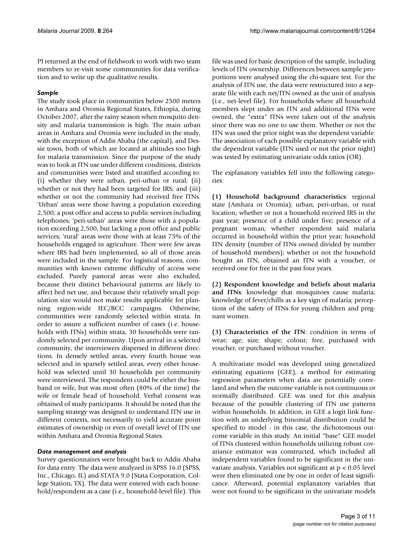PI returned at the end of fieldwork to work with two team members to re-visit some communities for data verification and to write up the qualitative results.

# *Sample*

The study took place in communities below 2500 meters in Amhara and Oromia Regional States, Ethiopia, during October 2007, after the rainy season when mosquito density and malaria transmission is high. The main urban areas in Amhara and Oromia were included in the study, with the exception of Addis Ababa (the capital), and Dessie town, both of which are located at altitudes too high for malaria transmission. Since the purpose of the study was to look at ITN use under different conditions, districts and communities were listed and stratified according to: (i) whether they were urban, peri-urban or rural; (ii) whether or not they had been targeted for IRS; and (iii) whether or not the community had received free ITNs. 'Urban' areas were those having a population exceeding 2,500, a post office and access to public services including telephones; 'peri-urban' areas were those with a population exceeding 2,500, but lacking a post office and public services; 'rural' areas were those with at least 75% of the households engaged in agriculture. There were few areas where IRS had been implemented, so all of those areas were included in the sample. For logistical reasons, communities with known extreme difficulty of access were excluded. Purely pastoral areas were also excluded, because their distinct behavioural patterns are likely to affect bed net use, and because their relatively small population size would not make results applicable for planning region-wide IEC/BCC campaigns. Otherwise, communities were randomly selected within strata. In order to assure a sufficient number of cases (i.e. households with ITNs) within strata, 30 households were randomly selected per community. Upon arrival in a selected community, the interviewers dispersed in different directions. In densely settled areas, every fourth house was selected and in sparsely settled areas, every other household was selected until 30 households per community were interviewed. The respondent could be either the husband or wife, but was most often (80% of the time) the wife or female head of household. Verbal consent was obtained of study participants. It should be noted that the sampling strategy was designed to understand ITN use in different contexts, not necessarily to yield accurate point estimates of ownership or even of overall level of ITN use within Amhara and Oromia Regional States.

## *Data management and analysis*

Survey questionnaires were brought back to Addis Ababa for data entry. The data were analyzed in SPSS 16.0 (SPSS, Inc., Chicago, IL) and STATA 9.0 (Stata Corporation, College Station, TX). The data were entered with each household/respondent as a case (i.e., household-level file). This file was used for basic description of the sample, including levels of ITN ownership. Differences between sample proportions were analysed using the chi-square test. For the analysis of ITN use, the data were restructured into a separate file with each net/ITN owned as the unit of analysis (i.e., net-level file). For households where all household members slept under an ITN and additional ITNs were owned, the "extra" ITNs were taken out of the analysis since there was no one to use them. Whether or not the ITN was used the prior night was the dependent variable. The association of each possible explanatory variable with the dependent variable (ITN used or not the prior night) was tested by estimating univariate odds ratios (OR).

The explanatory variables fell into the following categories:

**(1) Household background characteristics**: regional state (Amhara or Oromia); urban, peri-urban, or rural location; whether or not a household received IRS in the past year; presence of a child under five; presence of a pregnant woman; whether respondent said malaria occurred in household within the prior year; household ITN density (number of ITNs owned divided by number of household members); whether or not the household bought an ITN, obtained an ITN with a voucher, or received one for free in the past four years.

**(2) Respondent knowledge and beliefs about malaria and ITNs**: knowledge that mosquitoes cause malaria; knowledge of fever/chills as a key sign of malaria; perceptions of the safety of ITNs for young children and pregnant women.

**(3) Characteristics of the ITN**: condition in terms of wear; age; size; shape; colour; free, purchased with voucher, or purchased without voucher.

A multivariate model was developed using generalized estimating equations (GEE), a method for estimating regression parameters when data are potentially correlated and when the outcome variable is not continuous or normally distributed. GEE was used for this analysis because of the possible clustering of ITN use patterns within households. In addition, in GEE a logit link function with an underlying binomial distribution could be specified to model - in this case, the dichotomous outcome variable in this study. An initial "base" GEE model of ITNs clustered within households utilizing robust covariance estimator was constructed, which included all independent variables found to be significant in the univariate analysis. Variables not significant at p < 0.05 level were then eliminated one by one in order of least significance. Afterward, potential explanatory variables that were not found to be significant in the univariate models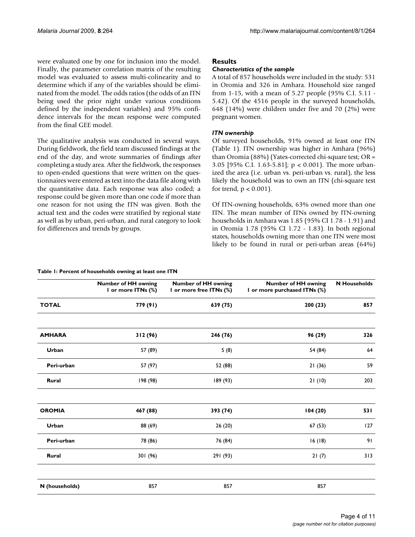were evaluated one by one for inclusion into the model. Finally, the parameter correlation matrix of the resulting model was evaluated to assess multi-colinearity and to determine which if any of the variables should be eliminated from the model. The odds ratios (the odds of an ITN being used the prior night under various conditions defined by the independent variables) and 95% confidence intervals for the mean response were computed from the final GEE model.

The qualitative analysis was conducted in several ways. During fieldwork, the field team discussed findings at the end of the day, and wrote summaries of findings after completing a study area. After the fieldwork, the responses to open-ended questions that were written on the questionnaires were entered as text into the data file along with the quantitative data. Each response was also coded; a response could be given more than one code if more than one reason for not using the ITN was given. Both the actual text and the codes were stratified by regional state as well as by urban, peri-urban, and rural category to look for differences and trends by groups.

# **Results**

### *Characteristics of the sample*

A total of 857 households were included in the study: 531 in Oromia and 326 in Amhara. Household size ranged from 1-15, with a mean of 5.27 people (95% C.I. 5.11 - 5.42). Of the 4516 people in the surveyed households, 648 (14%) were children under five and 70 (2%) were pregnant women.

## *ITN ownership*

Of surveyed households, 91% owned at least one ITN (Table 1). ITN ownership was higher in Amhara (96%) than Oromia (88%) (Yates-corrected chi-square test; OR = 3.05 [95% C.I. 1.63-5.81]; p < 0.001). The more urbanized the area (i.e. urban vs. peri-urban vs. rural), the less likely the household was to own an ITN (chi-square test for trend,  $p < 0.001$ ).

Of ITN-owning households, 63% owned more than one ITN. The mean number of ITNs owned by ITN-owning households in Amhara was 1.85 (95% CI 1.78 - 1.91) and in Oromia 1.78 (95% CI 1.72 - 1.83). In both regional states, households owning more than one ITN were most likely to be found in rural or peri-urban areas (64%)

#### **Table 1: Percent of households owning at least one ITN**

|                | <b>Number of HH owning</b><br>I or more ITNs (%) | <b>Number of HH owning</b><br>I or more free ITNs (%) | <b>Number of HH owning</b><br>I or more purchased ITNs (%) | N Households |  |
|----------------|--------------------------------------------------|-------------------------------------------------------|------------------------------------------------------------|--------------|--|
| <b>TOTAL</b>   | 779 (91)                                         | 639 (75)                                              | 200(23)                                                    | 857          |  |
| <b>AMHARA</b>  | 312 (96)                                         | 246 (76)                                              | 96 (29)                                                    | 326          |  |
| Urban          | 57 (89)                                          | 5(8)                                                  | 54 (84)                                                    | 64           |  |
| Peri-urban     | 57 (97)                                          | 52 (88)                                               | 21(36)                                                     | 59           |  |
| <b>Rural</b>   | 198 (98)                                         | 189 (93)                                              | 21(10)                                                     | 203          |  |
| <b>OROMIA</b>  | 467 (88)                                         | 393 (74)                                              | 104(20)                                                    | 531          |  |
| Urban          | 88 (69)                                          | 26(20)                                                | 67(53)                                                     | 127          |  |
| Peri-urban     | 78 (86)                                          | 76 (84)                                               | 16(18)                                                     | 91           |  |
| <b>Rural</b>   | 301 (96)                                         | 291 (93)                                              | 21(7)                                                      | 313          |  |
| N (households) | 857                                              | 857                                                   | 857                                                        |              |  |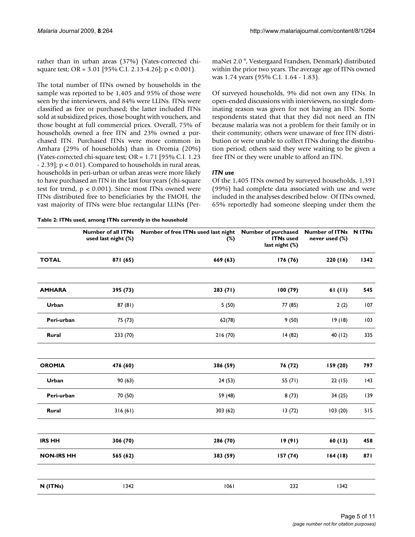rather than in urban areas (37%) (Yates-corrected chisquare test; OR = 3.01 [95% C.I. 2.13-4.26]; p < 0.001).

The total number of ITNs owned by households in the sample was reported to be 1,405 and 95% of those were seen by the interviewers, and 84% were LLINs. ITNs were classified as free or purchased; the latter included ITNs sold at subsidized prices, those bought with vouchers, and those bought at full commercial prices. Overall, 75% of households owned a free ITN and 23% owned a purchased ITN. Purchased ITNs were more common in Amhara (29% of households) than in Oromia (20%) (Yates-corrected chi-square test; OR = 1.71 [95% C.I. 1.23 - 2.39]; p < 0.01). Compared to households in rural areas, households in peri-urban or urban areas were more likely to have purchased an ITN in the last four years (chi-square test for trend,  $p < 0.001$ ). Since most ITNs owned were ITNs distributed free to beneficiaries by the FMOH, the vast majority of ITNs were blue rectangular LLINs (PermaNet 2.0 ®, Vestergaard Frandsen, Denmark) distributed within the prior two years. The average age of ITNs owned was 1.74 years (95% C.I. 1.64 - 1.83).

Of surveyed households, 9% did not own any ITNs. In open-ended discussions with interviewers, no single dominating reason was given for not having an ITN. Some respondents stated that that they did not need an ITN because malaria was not a problem for their family or in their community; others were unaware of free ITN distribution or were unable to collect ITNs during the distribution period; others said they were waiting to be given a free ITN or they were unable to afford an ITN.

# *ITN use*

Of the 1,405 ITNs owned by surveyed households, 1,391 (99%) had complete data associated with use and were included in the analyses described below. Of ITNs owned, 65% reportedly had someone sleeping under them the

|  |  |  | Table 2: ITNs used, among ITNs currently in the household |
|--|--|--|-----------------------------------------------------------|
|--|--|--|-----------------------------------------------------------|

|                   | <b>Number of all ITNs</b><br>used last night (%) | Number of free ITNs used last night<br>$(\%)$ | Number of purchased<br><b>ITNs used</b><br>last night (%) | <b>Number of ITNs</b><br>never used (%) | <b>NITNs</b> |
|-------------------|--------------------------------------------------|-----------------------------------------------|-----------------------------------------------------------|-----------------------------------------|--------------|
| <b>TOTAL</b>      | 871 (65)                                         | 669 (63)                                      | 176 (76)                                                  | 220 (16)                                | 1342         |
| <b>AMHARA</b>     | 395 (73)                                         | 283 (71)                                      | 100(79)                                                   | 61(11)                                  | 545          |
| Urban             | 87(81)                                           | 5(50)                                         | 77 (85)                                                   | 2(2)                                    | 107          |
| Peri-urban        | 75 (73)                                          | 62(78)                                        | 9(50)                                                     | 19(18)                                  | 103          |
| Rural             | 233 (70)                                         | 216(70)                                       | 14(82)                                                    | 40(12)                                  | 335          |
| <b>OROMIA</b>     | 476 (60)                                         | 386 (59)                                      | 76 (72)                                                   | 159 (20)                                | 797          |
| Urban             | 90(63)                                           | 24(53)                                        | 55(71)                                                    | 22(15)                                  | 143          |
| Peri-urban        | 70 (50)                                          | 59 (48)                                       | 8(73)                                                     | 34(25)                                  | 139          |
| Rural             | 316(61)                                          | 303(62)                                       | 13(72)                                                    | 103(20)                                 | 515          |
| <b>IRS HH</b>     | 306 (70)                                         | 286 (70)                                      | 19(91)                                                    | 60 (13)                                 | 458          |
| <b>NON-IRS HH</b> | 565 (62)                                         | 383 (59)                                      | 157(74)                                                   | 164(18)                                 | 87 I         |
| N (ITNs)          | 1342                                             | 1061                                          | 232                                                       | 1342                                    |              |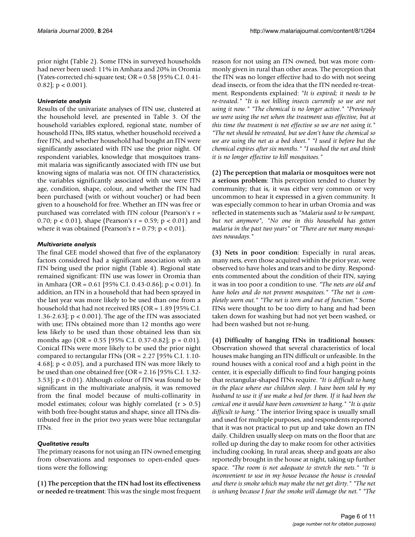prior night (Table 2). Some ITNs in surveyed households had never been used: 11% in Amhara and 20% in Oromia (Yates-corrected chi-square test;  $OR = 0.58$  [95% C.I. 0.41- $0.82$ ]; p < 0.001).

## *Univariate analysis*

Results of the univariate analyses of ITN use, clustered at the household level, are presented in Table 3. Of the household variables explored, regional state, number of household ITNs, IRS status, whether household received a free ITN, and whether household had bought an ITN were significantly associated with ITN use the prior night. Of respondent variables, knowledge that mosquitoes transmit malaria was significantly associated with ITN use but knowing signs of malaria was not. Of ITN characteristics, the variables significantly associated with use were ITN age, condition, shape, colour, and whether the ITN had been purchased (with or without voucher) or had been given to a household for free. Whether an ITN was free or purchased was correlated with ITN colour (Pearson's r = 0.70;  $p < 0.01$ ), shape (Pearson's  $r = 0.59$ ;  $p < 0.01$ ) and where it was obtained (Pearson's  $r = 0.79$ ;  $p < 0.01$ ).

## *Multivariate analysis*

The final GEE model showed that five of the explanatory factors considered had a significant association with an ITN being used the prior night (Table 4). Regional state remained significant: ITN use was lower in Oromia than in Amhara (OR = 0.61 [95% C.I. 0.43-0.86]; p < 0.01). In addition, an ITN in a household that had been sprayed in the last year was more likely to be used than one from a household that had not received IRS (OR = 1.89 [95% C.I. 1.36-2.63];  $p < 0.001$ ). The age of the ITN was associated with use; ITNs obtained more than 12 months ago were less likely to be used than those obtained less than six months ago (OR = 0.55 [95% C.I. 0.37-0.82]; p = 0.01). Conical ITNs were more likely to be used the prior night compared to rectangular ITNs (OR = 2.27 [95% C.I. 1.10- 4.68]; p < 0.05), and a purchased ITN was more likely to be used than one obtained free (OR = 2.16 [95% C.I. 1.32- 3.53]; p < 0.01). Although colour of ITN was found to be significant in the multivariate analysis, it was removed from the final model because of multi-collinarity in model estimates; colour was highly correlated  $(r > 0.5)$ with both free-bought status and shape, since all ITNs distributed free in the prior two years were blue rectangular ITNs.

# *Qualitative results*

The primary reasons for not using an ITN owned emerging from observations and responses to open-ended questions were the following:

**(1) The perception that the ITN had lost its effectiveness or needed re-treatment**: This was the single most frequent

reason for not using an ITN owned, but was more commonly given in rural than other areas. The perception that the ITN was no longer effective had to do with not seeing dead insects, or from the idea that the ITN needed re-treatment. Respondents explained: *"It is expired; it needs to be re-treated." "It is not killing insects currently so we are not using it now." "The chemical is no longer active." "Previously we were using the net when the treatment was effective, but at this time the treatment is not effective so we are not using it." "The net should be retreated, but we don't have the chemical so we are using the net as a bed sheet." "I used it before but the chemical expires after six months." "I washed the net and think it is no longer effective to kill mosquitoes."*

**(2) The perception that malaria or mosquitoes were not a serious problem**: This perception tended to cluster by community; that is, it was either very common or very uncommon to hear it expressed in a given community. It was especially common to hear in urban Oromia and was reflected in statements such as *"Malaria used to be rampant, but not anymore", "No one in this household has gotten malaria in the past two years"* or *"There are not many mosquitoes nowadays."*

**(3) Nets in poor condition**: Especially in rural areas, many nets, even those acquired within the prior year, were observed to have holes and tears and to be dirty. Respondents commented about the condition of their ITN, saying it was in too poor a condition to use. *"The nets are old and have holes and do not prevent mosquitoes." "The net is completely worn out." "The net is torn and out of function."* Some ITNs were thought to be too dirty to hang and had been taken down for washing but had not yet been washed, or had been washed but not re-hung.

**(4) Difficulty of hanging ITNs in traditional houses**: Observation showed that several characteristics of local houses make hanging an ITN difficult or unfeasible. In the round houses with a conical roof and a high point in the center, it is especially difficult to find four hanging points that rectangular-shaped ITNs require. *"It is difficult to hang in the place where our children sleep. I have been told by my husband to use it if we make a bed for them. If it had been the conical one it would have been convenient to hang." "It is quite difficult to hang."* The interior living space is usually small and used for multiple purposes, and respondents reported that it was not practical to put up and take down an ITN daily. Children usually sleep on mats on the floor that are rolled up during the day to make room for other activities including cooking. In rural areas, sheep and goats are also reportedly brought in the house at night, taking up further space. *"The room is not adequate to stretch the nets." "It is inconvenient to use in my house because the house is crowded and there is smoke which may make the net get dirty." "The net is unhung because I fear the smoke will damage the net." "The*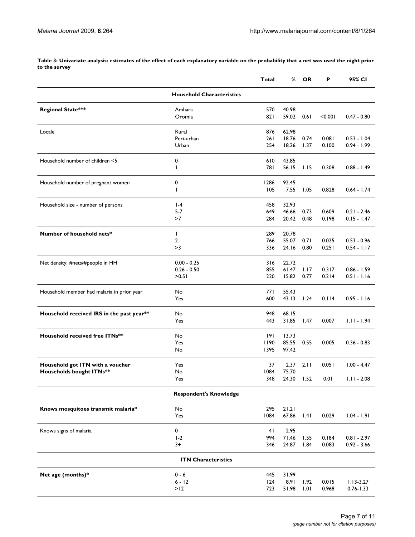**Table 3: Univariate analysis: estimates of the effect of each explanatory variable on the probability that a net was used the night prior to the survey**

|                                            |                                  | <b>Total</b> | %     | <b>OR</b> | Ρ       | 95% CI        |
|--------------------------------------------|----------------------------------|--------------|-------|-----------|---------|---------------|
|                                            | <b>Household Characteristics</b> |              |       |           |         |               |
| <b>Regional State***</b>                   | Amhara                           | 570          | 40.98 |           |         |               |
|                                            | Oromia                           | 821          | 59.02 | 0.61      | < 0.001 | $0.47 - 0.80$ |
| Locale                                     | Rural                            | 876          | 62.98 |           |         |               |
|                                            | Peri-urban                       | 261          | 18.76 | 0.74      | 0.081   | $0.53 - 1.04$ |
|                                            | Urban                            | 254          | 18.26 | 1.37      | 0.100   | $0.94 - 1.99$ |
| Household number of children <5            | 0                                | 610          | 43.85 |           |         |               |
|                                            | I                                | 781          | 56.15 | 1.15      | 0.308   | $0.88 - 1.49$ |
| Household number of pregnant women         | 0                                | 1286         | 92.45 |           |         |               |
|                                            | I                                | 105          | 7.55  | 1.05      | 0.828   | $0.64 - 1.74$ |
| Household size - number of persons         | $I - 4$                          | 458          | 32.93 |           |         |               |
|                                            | 5-7                              | 649          | 46.66 | 0.73      | 0.609   | $0.21 - 2.46$ |
|                                            | >7                               | 284          | 20.42 | 0.48      | 0.198   | $0.15 - 1.47$ |
| Number of household nets*                  | I                                | 289          | 20.78 |           |         |               |
|                                            |                                  | 766          | 55.07 |           |         |               |
|                                            | 2                                |              |       | 0.71      | 0.025   | $0.53 - 0.96$ |
|                                            | >3                               | 336          | 24.16 | 0.80      | 0.251   | $0.54 - 1.17$ |
| Net density: #nets/#people in HH           | $0.00 - 0.25$                    | 316          | 22.72 |           |         |               |
|                                            | $0.26 - 0.50$                    | 855          | 61.47 | 1.17      | 0.317   | $0.86 - 1.59$ |
|                                            | >0.51                            | 220          | 15.82 | 0.77      | 0.214   | $0.51 - 1.16$ |
| Household member had malaria in prior year | No                               | 77 I         | 55.43 |           |         |               |
|                                            | Yes                              | 600          | 43.13 | 1.24      | 0.114   | $0.95 - 1.16$ |
| Household received IRS in the past year**  | No                               | 948          | 68.15 |           |         |               |
|                                            | Yes                              | 443          | 31.85 | 1.47      | 0.007   | $1.11 - 1.94$ |
| Household received free ITNs**             | No                               | 191          | 13.73 |           |         |               |
|                                            | Yes                              | 1190         | 85.55 | 0.55      | 0.005   | $0.36 - 0.83$ |
|                                            | No                               | 1395         | 97.42 |           |         |               |
| Household got ITN with a voucher           | Yes                              | 37           | 2.37  | 2.11      | 0.051   | $1.00 - 4.47$ |
| Households bought ITNs**                   | No                               | 1084         | 75.70 |           |         |               |
|                                            | Yes                              | 348          | 24.30 | 1.52      | 0.01    | $1.11 - 2.08$ |
|                                            | <b>Respondent's Knowledge</b>    |              |       |           |         |               |
| Knows mosquitoes transmit malaria*         | No                               | 295          | 21.21 |           |         |               |
|                                            | Yes                              | 1084         | 67.86 | .4        | 0.029   | $1.04 - 1.91$ |
| Knows signs of malaria                     | 0                                | 41           | 2.95  |           |         |               |
|                                            | $1-2$                            | 994          | 71.46 | 1.55      | 0.184   | $0.81 - 2.97$ |
|                                            | $3+$                             | 346          | 24.87 | 1.84      | 0.083   | $0.92 - 3.66$ |
|                                            | <b>ITN Characteristics</b>       |              |       |           |         |               |
| Net age (months)*                          | $0 - 6$                          | 445          | 31.99 |           |         |               |
|                                            | $6 - 12$                         | 124          | 8.91  | 1.92      | 0.015   | $1.13 - 3.27$ |
|                                            | >12                              | 723          | 51.98 | 1.01      | 0.968   | $0.76 - 1.33$ |
|                                            |                                  |              |       |           |         |               |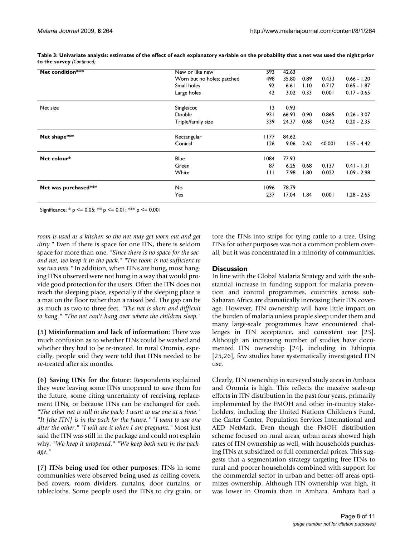| Net condition***     | New or like new            | 593              | 42.63 |      |         |               |
|----------------------|----------------------------|------------------|-------|------|---------|---------------|
|                      | Worn but no holes; patched | 498              | 35.80 | 0.89 | 0.433   | $0.66 - 1.20$ |
|                      | Small holes                | 92               | 6.61  | 1.10 | 0.717   | $0.65 - 1.87$ |
|                      | Large holes                | 42               | 3.02  | 0.33 | 0.001   | $0.17 - 0.65$ |
| Net size             | Single/cot                 | $\overline{13}$  | 0.93  |      |         |               |
|                      | Double                     | 931              | 66.93 | 0.90 | 0.865   | $0.26 - 3.07$ |
|                      | Triple/family size         | 339              | 24.37 | 0.68 | 0.542   | $0.20 - 2.35$ |
| Net shape***         | Rectangular                | 1177             | 84.62 |      |         |               |
|                      | Conical                    | 126              | 9.06  | 2.62 | < 0.001 | $1.55 - 4.42$ |
| Net colour*          | Blue                       | 1084             | 77.93 |      |         |               |
|                      | Green                      | 87               | 6.25  | 0.68 | 0.137   | $0.41 - 1.31$ |
|                      | White                      | $\overline{111}$ | 7.98  | 1.80 | 0.022   | 1.09 - 2.98   |
| Net was purchased*** | No                         | 1096             | 78.79 |      |         |               |
|                      | Yes                        | 237              | 17.04 | 1.84 | 0.001   | l.28 - 2.65   |

**Table 3: Univariate analysis: estimates of the effect of each explanatory variable on the probability that a net was used the night prior to the survey** *(Continued)*

Significance: \* p <= 0.05; \*\* p <= 0.01; \*\* p <= 0.001

*room is used as a kitchen so the net may get worn out and get dirty."* Even if there is space for one ITN, there is seldom space for more than one. *"Since there is no space for the second net, we keep it in the pack." "The room is not sufficient to use two nets."* In addition, when ITNs are hung, most hanging ITNs observed were not hung in a way that would provide good protection for the users. Often the ITN does not reach the sleeping place, especially if the sleeping place is a mat on the floor rather than a raised bed. The gap can be as much as two to three feet. *"The net is short and difficult to hang." "The net can't hang over where the children sleep."*

**(5) Misinformation and lack of information**: There was much confusion as to whether ITNs could be washed and whether they had to be re-treated. In rural Oromia, especially, people said they were told that ITNs needed to be re-treated after six months.

**(6) Saving ITNs for the future**: Respondents explained they were leaving some ITNs unopened to save them for the future, some citing uncertainty of receiving replacement ITNs, or because ITNs can be exchanged for cash. *"The other net is still in the pack; I want to use one at a time." "It [the ITN] is in the pack for the future." "I want to use one after the other." "I will use it when I am pregnant."* Most just said the ITN was still in the package and could not explain why. *"We keep it unopened." "We keep both nets in the package."*

**(7) ITNs being used for other purposes**: ITNs in some communities were observed being used as ceiling covers, bed covers, room dividers, curtains, door curtains, or tablecloths. Some people used the ITNs to dry grain, or tore the ITNs into strips for tying cattle to a tree. Using ITNs for other purposes was not a common problem overall, but it was concentrated in a minority of communities.

# **Discussion**

In line with the Global Malaria Strategy and with the substantial increase in funding support for malaria prevention and control programmes, countries across sub-Saharan Africa are dramatically increasing their ITN coverage. However, ITN ownership will have little impact on the burden of malaria unless people sleep under them and many large-scale programmes have encountered challenges in ITN acceptance, and consistent use [23]. Although an increasing number of studies have documented ITN ownership [24], including in Ethiopia [25,26], few studies have systematically investigated ITN use.

Clearly, ITN ownership in surveyed study areas in Amhara and Oromia is high. This reflects the massive scale-up efforts in ITN distribution in the past four years, primarily implemented by the FMOH and other in-country stakeholders, including the United Nations Children's Fund, the Carter Center, Population Services International and AED NetMark. Even though the FMOH distribution scheme focused on rural areas, urban areas showed high rates of ITN ownership as well, with households purchasing ITNs at subsidized or full commercial prices. This suggests that a segmentation strategy targeting free ITNs to rural and poorer households combined with support for the commercial sector in urban and better-off areas optimizes ownership. Although ITN ownership was high, it was lower in Oromia than in Amhara. Amhara had a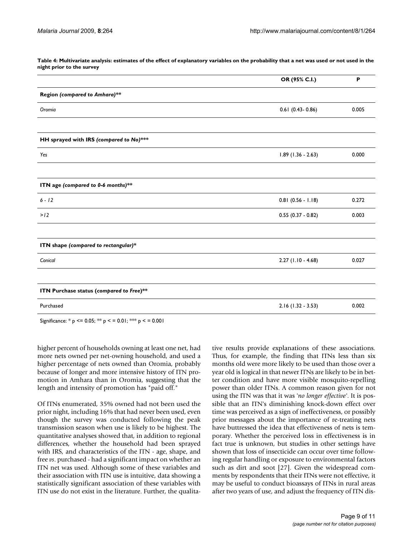**Table 4: Multivariate analysis: estimates of the effect of explanatory variables on the probability that a net was used or not used in the night prior to the survey**

|                                          | OR (95% C.I.)          | P     |
|------------------------------------------|------------------------|-------|
| Region (compared to Amhara)**            |                        |       |
| Oromia                                   | $0.61$ (0.43-0.86)     | 0.005 |
|                                          |                        |       |
| HH sprayed with IRS (compared to No)***  |                        |       |
| Yes                                      | $1.89$ (1.36 - 2.63)   | 0.000 |
|                                          |                        |       |
| ITN age (compared to 0-6 months)**       |                        |       |
| $6 - 12$                                 | $0.81$ $(0.56 - 1.18)$ | 0.272 |
| >12                                      | $0.55(0.37 - 0.82)$    | 0.003 |
|                                          |                        |       |
| ITN shape (compared to rectangular)*     |                        |       |
| Conical                                  | $2.27$ (1.10 - 4.68)   | 0.027 |
|                                          |                        |       |
| ITN Purchase status (compared to Free)** |                        |       |
| Purchased                                | $2.16(1.32 - 3.53)$    | 0.002 |
|                                          |                        |       |

Significance: \* p <= 0.05; \*\* p < = 0.01; \*\* p < = 0.001

higher percent of households owning at least one net, had more nets owned per net-owning household, and used a higher percentage of nets owned than Oromia, probably because of longer and more intensive history of ITN promotion in Amhara than in Oromia, suggesting that the length and intensity of promotion has "paid off."

Of ITNs enumerated, 35% owned had not been used the prior night, including 16% that had never been used, even though the survey was conducted following the peak transmission season when use is likely to be highest. The quantitative analyses showed that, in addition to regional differences, whether the household had been sprayed with IRS, and characteristics of the ITN - age, shape, and free *vs*. purchased - had a significant impact on whether an ITN net was used. Although some of these variables and their association with ITN use is intuitive, data showing a statistically significant association of these variables with ITN use do not exist in the literature. Further, the qualitative results provide explanations of these associations. Thus, for example, the finding that ITNs less than six months old were more likely to be used than those over a year old is logical in that newer ITNs are likely to be in better condition and have more visible mosquito-repelling power than older ITNs. A common reason given for not using the ITN was that it was '*no longer effective'*. It is possible that an ITN's diminishing knock-down effect over time was perceived as a sign of ineffectiveness, or possibly prior messages about the importance of re-treating nets have buttressed the idea that effectiveness of nets is temporary. Whether the perceived loss in effectiveness is in fact true is unknown, but studies in other settings have shown that loss of insecticide can occur over time following regular handling or exposure to environmental factors such as dirt and soot [27]. Given the widespread comments by respondents that their ITNs were not effective, it may be useful to conduct bioassays of ITNs in rural areas after two years of use, and adjust the frequency of ITN dis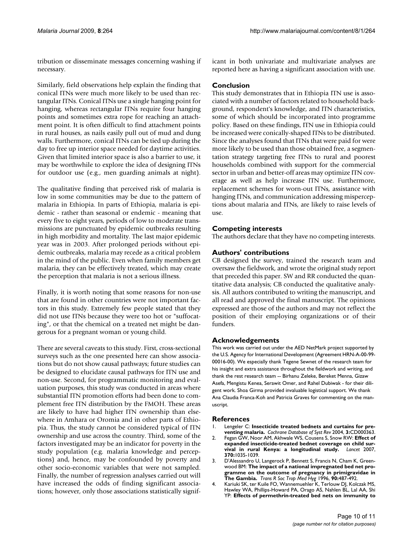tribution or disseminate messages concerning washing if necessary.

Similarly, field observations help explain the finding that conical ITNs were much more likely to be used than rectangular ITNs. Conical ITNs use a single hanging point for hanging, whereas rectangular ITNs require four hanging points and sometimes extra rope for reaching an attachment point. It is often difficult to find attachment points in rural houses, as nails easily pull out of mud and dung walls. Furthermore, conical ITNs can be tied up during the day to free up interior space needed for daytime activities. Given that limited interior space is also a barrier to use, it may be worthwhile to explore the idea of designing ITNs for outdoor use (e.g., men guarding animals at night).

The qualitative finding that perceived risk of malaria is low in some communities may be due to the pattern of malaria in Ethiopia. In parts of Ethiopia, malaria is epidemic - rather than seasonal or endemic - meaning that every five to eight years, periods of low to moderate transmissions are punctuated by epidemic outbreaks resulting in high morbidity and mortality. The last major epidemic year was in 2003. After prolonged periods without epidemic outbreaks, malaria may recede as a critical problem in the mind of the public. Even when family members get malaria, they can be effectively treated, which may create the perception that malaria is not a serious illness.

Finally, it is worth noting that some reasons for non-use that are found in other countries were not important factors in this study. Extremely few people stated that they did not use ITNs because they were too hot or "suffocating", or that the chemical on a treated net might be dangerous for a pregnant woman or young child.

There are several caveats to this study. First, cross-sectional surveys such as the one presented here can show associations but do not show causal pathways; future studies can be designed to elucidate causal pathways for ITN use and non-use. Second, for programmatic monitoring and evaluation purposes, this study was conducted in areas where substantial ITN promotion efforts had been done to complement free ITN distribution by the FMOH. These areas are likely to have had higher ITN ownership than elsewhere in Amhara or Oromia and in other parts of Ethiopia. Thus, the study cannot be considered typical of ITN ownership and use across the country. Third, some of the factors investigated may be an indicator for poverty in the study population (e.g. malaria knowledge and perceptions) and, hence, may be confounded by poverty and other socio-economic variables that were not sampled. Finally, the number of regression analyses carried out will have increased the odds of finding significant associations; however, only those associations statistically significant in both univariate and multivariate analyses are reported here as having a significant association with use.

# **Conclusion**

This study demonstrates that in Ethiopia ITN use is associated with a number of factors related to household background, respondent's knowledge, and ITN characteristics, some of which should be incorporated into programme policy. Based on these findings, ITN use in Ethiopia could be increased were conically-shaped ITNs to be distributed. Since the analyses found that ITNs that were paid for were more likely to be used than those obtained free, a segmentation strategy targeting free ITNs to rural and poorest households combined with support for the commercial sector in urban and better-off areas may optimize ITN coverage as well as help increase ITN use. Furthermore, replacement schemes for worn-out ITNs, assistance with hanging ITNs, and communication addressing misperceptions about malaria and ITNs, are likely to raise levels of use.

# **Competing interests**

The authors declare that they have no competing interests.

# **Authors' contributions**

CB designed the survey, trained the research team and oversaw the fieldwork, and wrote the original study report that preceded this paper. SW and RR conducted the quantitative data analysis; CB conducted the qualitative analysis. All authors contributed to writing the manuscript, and all read and approved the final manuscript. The opinions expressed are those of the authors and may not reflect the position of their employing organizations or of their funders.

## **Acknowledgements**

This work was carried out under the AED NetMark project supported by the U.S. Agency for International Development (Agreement HRN-A-00-99- 00016-00). We especially thank Tegene Sewnet of the research team for his insight and extra assistance throughout the fieldwork and writing, and thank the rest research team -- Birhanu Zeleke, Bereket Menna, Gizaw Asefa, Mengistu Kenea, Serawit Omer, and Rahel Dubiwak - for their diligent work. Shoa Girma provided invaluable logistical support. We thank Ana Claudia Franca-Koh and Patricia Graves for commenting on the manuscript.

#### **References**

- 1. Lengeler C: **Insecticide treated bednets and curtains for preventing malaria.** *Cochrane Database of Syst Rev* 2004, **3:**CD000363.
- 2. Fegan GW, Noor AM, Akhwale WS, Cousens S, Snow RW: **[Effect of](http://www.ncbi.nlm.nih.gov/entrez/query.fcgi?cmd=Retrieve&db=PubMed&dopt=Abstract&list_uids=17889242) [expanded insecticide-treated bednet coverage on child sur](http://www.ncbi.nlm.nih.gov/entrez/query.fcgi?cmd=Retrieve&db=PubMed&dopt=Abstract&list_uids=17889242)[vival in rural Kenya: a longitudinal study.](http://www.ncbi.nlm.nih.gov/entrez/query.fcgi?cmd=Retrieve&db=PubMed&dopt=Abstract&list_uids=17889242)** *Lancet* 2007, **370:**1035-1039.
- 3. D'Alessandro U, Langerock P, Bennett S, Francis N, Cham K, Greenwood BM: **[The impact of a national impregnated bed net pro](http://www.ncbi.nlm.nih.gov/entrez/query.fcgi?cmd=Retrieve&db=PubMed&dopt=Abstract&list_uids=8944251)[gramme on the outcome of pregnancy in primigravidae in](http://www.ncbi.nlm.nih.gov/entrez/query.fcgi?cmd=Retrieve&db=PubMed&dopt=Abstract&list_uids=8944251) [The Gambia.](http://www.ncbi.nlm.nih.gov/entrez/query.fcgi?cmd=Retrieve&db=PubMed&dopt=Abstract&list_uids=8944251)** *Trans R Soc Trop Med Hyg* 1996, **90:**487-492.
- 4. Kariuki SK, ter Kuile FO, Wannemuehler K, Terlouw DJ, Kolczak MS, Hawley WA, Phillips-Howard PA, Orago AS, Nahlen BL, Lal AA, Shi YP: **[Effects of permethrin-treated bed nets on immunity to](http://www.ncbi.nlm.nih.gov/entrez/query.fcgi?cmd=Retrieve&db=PubMed&dopt=Abstract&list_uids=12749487)**